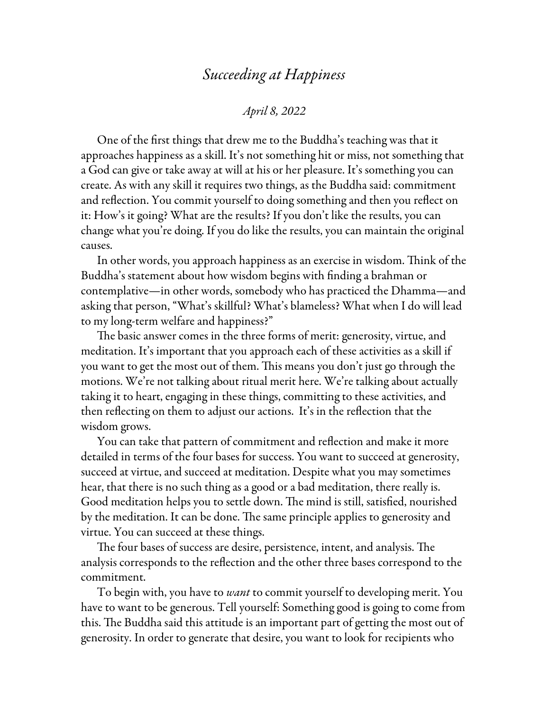## *Succeeding at Happiness*

## *April 8, 2022*

One of the first things that drew me to the Buddha's teaching was that it approaches happiness as a skill. It's not something hit or miss, not something that a God can give or take away at will at his or her pleasure. It's something you can create. As with any skill it requires two things, as the Buddha said: commitment and reflection. You commit yourself to doing something and then you reflect on it: How's it going? What are the results? If you don't like the results, you can change what you're doing. If you do like the results, you can maintain the original causes.

In other words, you approach happiness as an exercise in wisdom. Think of the Buddha's statement about how wisdom begins with finding a brahman or contemplative—in other words, somebody who has practiced the Dhamma—and asking that person, "What's skillful? What's blameless? What when I do will lead to my long-term welfare and happiness?"

The basic answer comes in the three forms of merit: generosity, virtue, and meditation. It's important that you approach each of these activities as a skill if you want to get the most out of them. This means you don't just go through the motions. We're not talking about ritual merit here. We're talking about actually taking it to heart, engaging in these things, committing to these activities, and then reflecting on them to adjust our actions. It's in the reflection that the wisdom grows.

You can take that pattern of commitment and reflection and make it more detailed in terms of the four bases for success. You want to succeed at generosity, succeed at virtue, and succeed at meditation. Despite what you may sometimes hear, that there is no such thing as a good or a bad meditation, there really is. Good meditation helps you to settle down. The mind is still, satisfied, nourished by the meditation. It can be done. The same principle applies to generosity and virtue. You can succeed at these things.

The four bases of success are desire, persistence, intent, and analysis. The analysis corresponds to the reflection and the other three bases correspond to the commitment.

To begin with, you have to *want* to commit yourself to developing merit. You have to want to be generous. Tell yourself: Something good is going to come from this. The Buddha said this attitude is an important part of getting the most out of generosity. In order to generate that desire, you want to look for recipients who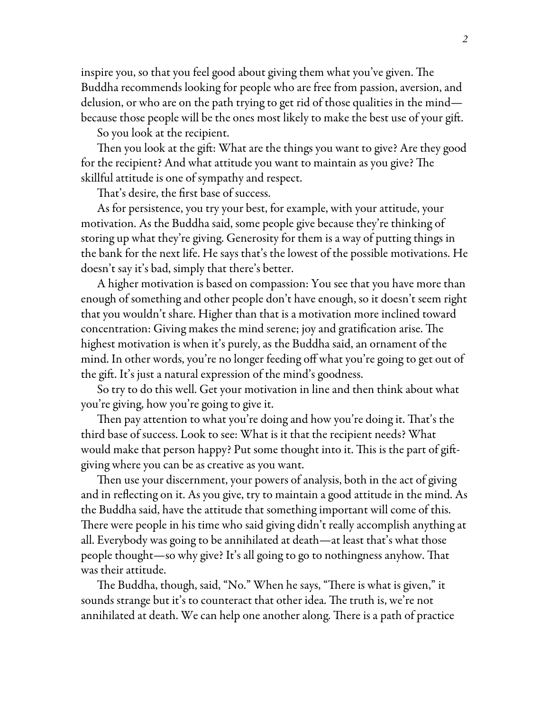inspire you, so that you feel good about giving them what you've given. The Buddha recommends looking for people who are free from passion, aversion, and delusion, or who are on the path trying to get rid of those qualities in the mind because those people will be the ones most likely to make the best use of your gift.

So you look at the recipient.

Then you look at the gift: What are the things you want to give? Are they good for the recipient? And what attitude you want to maintain as you give? The skillful attitude is one of sympathy and respect.

That's desire, the first base of success.

As for persistence, you try your best, for example, with your attitude, your motivation. As the Buddha said, some people give because they're thinking of storing up what they're giving. Generosity for them is a way of putting things in the bank for the next life. He says that's the lowest of the possible motivations. He doesn't say it's bad, simply that there's better.

A higher motivation is based on compassion: You see that you have more than enough of something and other people don't have enough, so it doesn't seem right that you wouldn't share. Higher than that is a motivation more inclined toward concentration: Giving makes the mind serene; joy and gratification arise. The highest motivation is when it's purely, as the Buddha said, an ornament of the mind. In other words, you're no longer feeding off what you're going to get out of the gift. It's just a natural expression of the mind's goodness.

So try to do this well. Get your motivation in line and then think about what you're giving, how you're going to give it.

Then pay attention to what you're doing and how you're doing it. That's the third base of success. Look to see: What is it that the recipient needs? What would make that person happy? Put some thought into it. This is the part of giftgiving where you can be as creative as you want.

Then use your discernment, your powers of analysis, both in the act of giving and in reflecting on it. As you give, try to maintain a good attitude in the mind. As the Buddha said, have the attitude that something important will come of this. There were people in his time who said giving didn't really accomplish anything at all. Everybody was going to be annihilated at death—at least that's what those people thought—so why give? It's all going to go to nothingness anyhow. That was their attitude.

The Buddha, though, said, "No." When he says, "There is what is given," it sounds strange but it's to counteract that other idea. The truth is, we're not annihilated at death. We can help one another along. There is a path of practice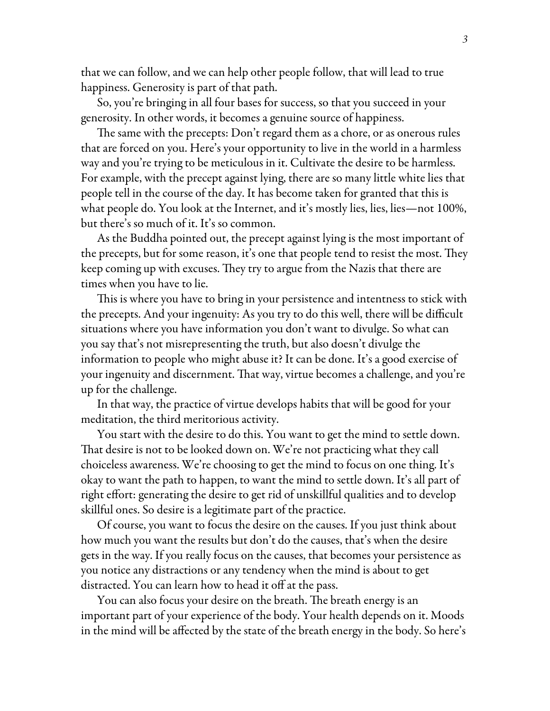that we can follow, and we can help other people follow, that will lead to true happiness. Generosity is part of that path.

So, you're bringing in all four bases for success, so that you succeed in your generosity. In other words, it becomes a genuine source of happiness.

The same with the precepts: Don't regard them as a chore, or as onerous rules that are forced on you. Here's your opportunity to live in the world in a harmless way and you're trying to be meticulous in it. Cultivate the desire to be harmless. For example, with the precept against lying, there are so many little white lies that people tell in the course of the day. It has become taken for granted that this is what people do. You look at the Internet, and it's mostly lies, lies, lies—not 100%, but there's so much of it. It's so common.

As the Buddha pointed out, the precept against lying is the most important of the precepts, but for some reason, it's one that people tend to resist the most. They keep coming up with excuses. They try to argue from the Nazis that there are times when you have to lie.

This is where you have to bring in your persistence and intentness to stick with the precepts. And your ingenuity: As you try to do this well, there will be difficult situations where you have information you don't want to divulge. So what can you say that's not misrepresenting the truth, but also doesn't divulge the information to people who might abuse it? It can be done. It's a good exercise of your ingenuity and discernment. That way, virtue becomes a challenge, and you're up for the challenge.

In that way, the practice of virtue develops habits that will be good for your meditation, the third meritorious activity.

You start with the desire to do this. You want to get the mind to settle down. That desire is not to be looked down on. We're not practicing what they call choiceless awareness. We're choosing to get the mind to focus on one thing. It's okay to want the path to happen, to want the mind to settle down. It's all part of right effort: generating the desire to get rid of unskillful qualities and to develop skillful ones. So desire is a legitimate part of the practice.

Of course, you want to focus the desire on the causes. If you just think about how much you want the results but don't do the causes, that's when the desire gets in the way. If you really focus on the causes, that becomes your persistence as you notice any distractions or any tendency when the mind is about to get distracted. You can learn how to head it off at the pass.

You can also focus your desire on the breath. The breath energy is an important part of your experience of the body. Your health depends on it. Moods in the mind will be affected by the state of the breath energy in the body. So here's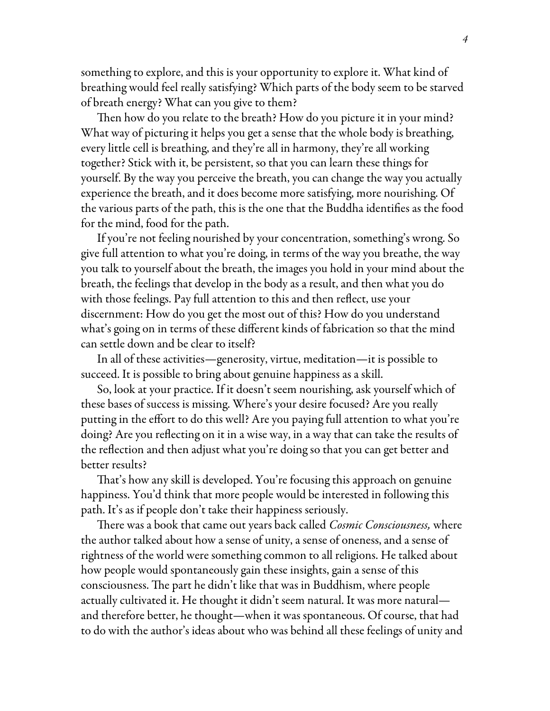something to explore, and this is your opportunity to explore it. What kind of breathing would feel really satisfying? Which parts of the body seem to be starved of breath energy? What can you give to them?

Then how do you relate to the breath? How do you picture it in your mind? What way of picturing it helps you get a sense that the whole body is breathing, every little cell is breathing, and they're all in harmony, they're all working together? Stick with it, be persistent, so that you can learn these things for yourself. By the way you perceive the breath, you can change the way you actually experience the breath, and it does become more satisfying, more nourishing. Of the various parts of the path, this is the one that the Buddha identifies as the food for the mind, food for the path.

If you're not feeling nourished by your concentration, something's wrong. So give full attention to what you're doing, in terms of the way you breathe, the way you talk to yourself about the breath, the images you hold in your mind about the breath, the feelings that develop in the body as a result, and then what you do with those feelings. Pay full attention to this and then reflect, use your discernment: How do you get the most out of this? How do you understand what's going on in terms of these different kinds of fabrication so that the mind can settle down and be clear to itself?

In all of these activities—generosity, virtue, meditation—it is possible to succeed. It is possible to bring about genuine happiness as a skill.

So, look at your practice. If it doesn't seem nourishing, ask yourself which of these bases of success is missing. Where's your desire focused? Are you really putting in the effort to do this well? Are you paying full attention to what you're doing? Are you reflecting on it in a wise way, in a way that can take the results of the reflection and then adjust what you're doing so that you can get better and better results?

That's how any skill is developed. You're focusing this approach on genuine happiness. You'd think that more people would be interested in following this path. It's as if people don't take their happiness seriously.

There was a book that came out years back called *Cosmic Consciousness,* where the author talked about how a sense of unity, a sense of oneness, and a sense of rightness of the world were something common to all religions. He talked about how people would spontaneously gain these insights, gain a sense of this consciousness. The part he didn't like that was in Buddhism, where people actually cultivated it. He thought it didn't seem natural. It was more natural and therefore better, he thought—when it was spontaneous. Of course, that had to do with the author's ideas about who was behind all these feelings of unity and